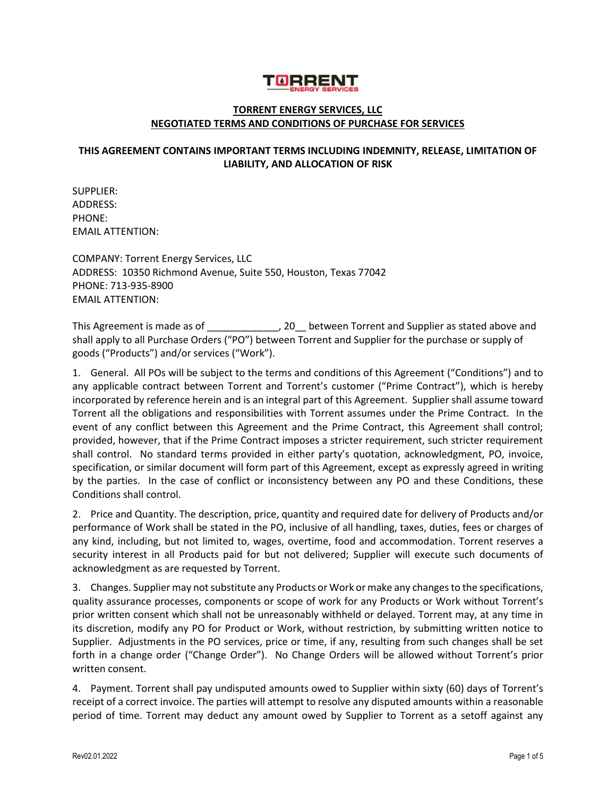

## **TORRENT ENERGY SERVICES, LLC NEGOTIATED TERMS AND CONDITIONS OF PURCHASE FOR SERVICES**

## **THIS AGREEMENT CONTAINS IMPORTANT TERMS INCLUDING INDEMNITY, RELEASE, LIMITATION OF LIABILITY, AND ALLOCATION OF RISK**

SUPPLIER: ADDRESS: PHONE: EMAIL ATTENTION:

COMPANY: Torrent Energy Services, LLC ADDRESS: 10350 Richmond Avenue, Suite 550, Houston, Texas 77042 PHONE: 713-935-8900 EMAIL ATTENTION:

This Agreement is made as of \_\_\_\_\_\_\_\_\_\_\_\_\_, 20\_\_ between Torrent and Supplier as stated above and shall apply to all Purchase Orders ("PO") between Torrent and Supplier for the purchase or supply of goods ("Products") and/or services ("Work").

1. General. All POs will be subject to the terms and conditions of this Agreement ("Conditions") and to any applicable contract between Torrent and Torrent's customer ("Prime Contract"), which is hereby incorporated by reference herein and is an integral part of this Agreement. Supplier shall assume toward Torrent all the obligations and responsibilities with Torrent assumes under the Prime Contract. In the event of any conflict between this Agreement and the Prime Contract, this Agreement shall control; provided, however, that if the Prime Contract imposes a stricter requirement, such stricter requirement shall control. No standard terms provided in either party's quotation, acknowledgment, PO, invoice, specification, or similar document will form part of this Agreement, except as expressly agreed in writing by the parties. In the case of conflict or inconsistency between any PO and these Conditions, these Conditions shall control.

2. Price and Quantity. The description, price, quantity and required date for delivery of Products and/or performance of Work shall be stated in the PO, inclusive of all handling, taxes, duties, fees or charges of any kind, including, but not limited to, wages, overtime, food and accommodation. Torrent reserves a security interest in all Products paid for but not delivered; Supplier will execute such documents of acknowledgment as are requested by Torrent.

3. Changes. Supplier may not substitute any Products or Work or make any changes to the specifications, quality assurance processes, components or scope of work for any Products or Work without Torrent's prior written consent which shall not be unreasonably withheld or delayed. Torrent may, at any time in its discretion, modify any PO for Product or Work, without restriction, by submitting written notice to Supplier. Adjustments in the PO services, price or time, if any, resulting from such changes shall be set forth in a change order ("Change Order"). No Change Orders will be allowed without Torrent's prior written consent.

4. Payment. Torrent shall pay undisputed amounts owed to Supplier within sixty (60) days of Torrent's receipt of a correct invoice. The parties will attempt to resolve any disputed amounts within a reasonable period of time. Torrent may deduct any amount owed by Supplier to Torrent as a setoff against any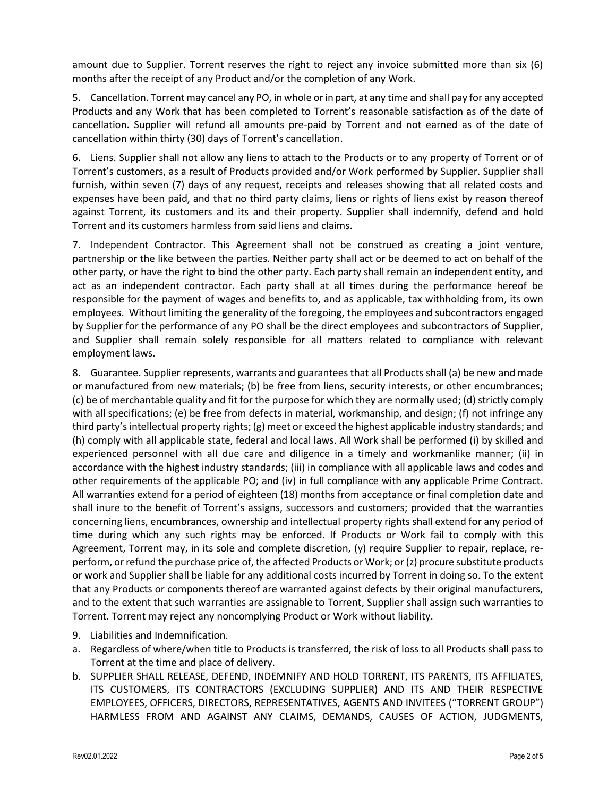amount due to Supplier. Torrent reserves the right to reject any invoice submitted more than six (6) months after the receipt of any Product and/or the completion of any Work.

5. Cancellation. Torrent may cancel any PO, in whole or in part, at any time and shall pay for any accepted Products and any Work that has been completed to Torrent's reasonable satisfaction as of the date of cancellation. Supplier will refund all amounts pre-paid by Torrent and not earned as of the date of cancellation within thirty (30) days of Torrent's cancellation.

6. Liens. Supplier shall not allow any liens to attach to the Products or to any property of Torrent or of Torrent's customers, as a result of Products provided and/or Work performed by Supplier. Supplier shall furnish, within seven (7) days of any request, receipts and releases showing that all related costs and expenses have been paid, and that no third party claims, liens or rights of liens exist by reason thereof against Torrent, its customers and its and their property. Supplier shall indemnify, defend and hold Torrent and its customers harmless from said liens and claims.

7. Independent Contractor. This Agreement shall not be construed as creating a joint venture, partnership or the like between the parties. Neither party shall act or be deemed to act on behalf of the other party, or have the right to bind the other party. Each party shall remain an independent entity, and act as an independent contractor. Each party shall at all times during the performance hereof be responsible for the payment of wages and benefits to, and as applicable, tax withholding from, its own employees. Without limiting the generality of the foregoing, the employees and subcontractors engaged by Supplier for the performance of any PO shall be the direct employees and subcontractors of Supplier, and Supplier shall remain solely responsible for all matters related to compliance with relevant employment laws.

8. Guarantee. Supplier represents, warrants and guarantees that all Products shall (a) be new and made or manufactured from new materials; (b) be free from liens, security interests, or other encumbrances; (c) be of merchantable quality and fit for the purpose for which they are normally used; (d) strictly comply with all specifications; (e) be free from defects in material, workmanship, and design; (f) not infringe any third party's intellectual property rights; (g) meet or exceed the highest applicable industry standards; and (h) comply with all applicable state, federal and local laws. All Work shall be performed (i) by skilled and experienced personnel with all due care and diligence in a timely and workmanlike manner; (ii) in accordance with the highest industry standards; (iii) in compliance with all applicable laws and codes and other requirements of the applicable PO; and (iv) in full compliance with any applicable Prime Contract. All warranties extend for a period of eighteen (18) months from acceptance or final completion date and shall inure to the benefit of Torrent's assigns, successors and customers; provided that the warranties concerning liens, encumbrances, ownership and intellectual property rights shall extend for any period of time during which any such rights may be enforced. If Products or Work fail to comply with this Agreement, Torrent may, in its sole and complete discretion, (y) require Supplier to repair, replace, reperform, or refund the purchase price of, the affected Products or Work; or (z) procure substitute products or work and Supplier shall be liable for any additional costs incurred by Torrent in doing so. To the extent that any Products or components thereof are warranted against defects by their original manufacturers, and to the extent that such warranties are assignable to Torrent, Supplier shall assign such warranties to Torrent. Torrent may reject any noncomplying Product or Work without liability.

- 9. Liabilities and Indemnification.
- a. Regardless of where/when title to Products is transferred, the risk of loss to all Products shall pass to Torrent at the time and place of delivery.
- b. SUPPLIER SHALL RELEASE, DEFEND, INDEMNIFY AND HOLD TORRENT, ITS PARENTS, ITS AFFILIATES, ITS CUSTOMERS, ITS CONTRACTORS (EXCLUDING SUPPLIER) AND ITS AND THEIR RESPECTIVE EMPLOYEES, OFFICERS, DIRECTORS, REPRESENTATIVES, AGENTS AND INVITEES ("TORRENT GROUP") HARMLESS FROM AND AGAINST ANY CLAIMS, DEMANDS, CAUSES OF ACTION, JUDGMENTS,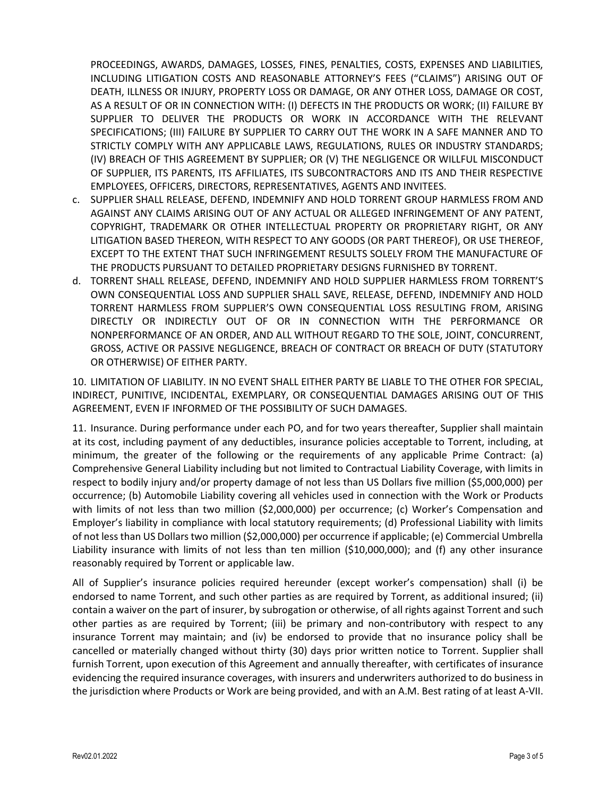PROCEEDINGS, AWARDS, DAMAGES, LOSSES, FINES, PENALTIES, COSTS, EXPENSES AND LIABILITIES, INCLUDING LITIGATION COSTS AND REASONABLE ATTORNEY'S FEES ("CLAIMS") ARISING OUT OF DEATH, ILLNESS OR INJURY, PROPERTY LOSS OR DAMAGE, OR ANY OTHER LOSS, DAMAGE OR COST, AS A RESULT OF OR IN CONNECTION WITH: (I) DEFECTS IN THE PRODUCTS OR WORK; (II) FAILURE BY SUPPLIER TO DELIVER THE PRODUCTS OR WORK IN ACCORDANCE WITH THE RELEVANT SPECIFICATIONS; (III) FAILURE BY SUPPLIER TO CARRY OUT THE WORK IN A SAFE MANNER AND TO STRICTLY COMPLY WITH ANY APPLICABLE LAWS, REGULATIONS, RULES OR INDUSTRY STANDARDS; (IV) BREACH OF THIS AGREEMENT BY SUPPLIER; OR (V) THE NEGLIGENCE OR WILLFUL MISCONDUCT OF SUPPLIER, ITS PARENTS, ITS AFFILIATES, ITS SUBCONTRACTORS AND ITS AND THEIR RESPECTIVE EMPLOYEES, OFFICERS, DIRECTORS, REPRESENTATIVES, AGENTS AND INVITEES.

- c. SUPPLIER SHALL RELEASE, DEFEND, INDEMNIFY AND HOLD TORRENT GROUP HARMLESS FROM AND AGAINST ANY CLAIMS ARISING OUT OF ANY ACTUAL OR ALLEGED INFRINGEMENT OF ANY PATENT, COPYRIGHT, TRADEMARK OR OTHER INTELLECTUAL PROPERTY OR PROPRIETARY RIGHT, OR ANY LITIGATION BASED THEREON, WITH RESPECT TO ANY GOODS (OR PART THEREOF), OR USE THEREOF, EXCEPT TO THE EXTENT THAT SUCH INFRINGEMENT RESULTS SOLELY FROM THE MANUFACTURE OF THE PRODUCTS PURSUANT TO DETAILED PROPRIETARY DESIGNS FURNISHED BY TORRENT.
- d. TORRENT SHALL RELEASE, DEFEND, INDEMNIFY AND HOLD SUPPLIER HARMLESS FROM TORRENT'S OWN CONSEQUENTIAL LOSS AND SUPPLIER SHALL SAVE, RELEASE, DEFEND, INDEMNIFY AND HOLD TORRENT HARMLESS FROM SUPPLIER'S OWN CONSEQUENTIAL LOSS RESULTING FROM, ARISING DIRECTLY OR INDIRECTLY OUT OF OR IN CONNECTION WITH THE PERFORMANCE OR NONPERFORMANCE OF AN ORDER, AND ALL WITHOUT REGARD TO THE SOLE, JOINT, CONCURRENT, GROSS, ACTIVE OR PASSIVE NEGLIGENCE, BREACH OF CONTRACT OR BREACH OF DUTY (STATUTORY OR OTHERWISE) OF EITHER PARTY.

10. LIMITATION OF LIABILITY. IN NO EVENT SHALL EITHER PARTY BE LIABLE TO THE OTHER FOR SPECIAL, INDIRECT, PUNITIVE, INCIDENTAL, EXEMPLARY, OR CONSEQUENTIAL DAMAGES ARISING OUT OF THIS AGREEMENT, EVEN IF INFORMED OF THE POSSIBILITY OF SUCH DAMAGES.

11. Insurance. During performance under each PO, and for two years thereafter, Supplier shall maintain at its cost, including payment of any deductibles, insurance policies acceptable to Torrent, including, at minimum, the greater of the following or the requirements of any applicable Prime Contract: (a) Comprehensive General Liability including but not limited to Contractual Liability Coverage, with limits in respect to bodily injury and/or property damage of not less than US Dollars five million (\$5,000,000) per occurrence; (b) Automobile Liability covering all vehicles used in connection with the Work or Products with limits of not less than two million (\$2,000,000) per occurrence; (c) Worker's Compensation and Employer's liability in compliance with local statutory requirements; (d) Professional Liability with limits of not less than US Dollars two million (\$2,000,000) per occurrence if applicable; (e) Commercial Umbrella Liability insurance with limits of not less than ten million (\$10,000,000); and (f) any other insurance reasonably required by Torrent or applicable law.

All of Supplier's insurance policies required hereunder (except worker's compensation) shall (i) be endorsed to name Torrent, and such other parties as are required by Torrent, as additional insured; (ii) contain a waiver on the part of insurer, by subrogation or otherwise, of all rights against Torrent and such other parties as are required by Torrent; (iii) be primary and non-contributory with respect to any insurance Torrent may maintain; and (iv) be endorsed to provide that no insurance policy shall be cancelled or materially changed without thirty (30) days prior written notice to Torrent. Supplier shall furnish Torrent, upon execution of this Agreement and annually thereafter, with certificates of insurance evidencing the required insurance coverages, with insurers and underwriters authorized to do business in the jurisdiction where Products or Work are being provided, and with an A.M. Best rating of at least A-VII.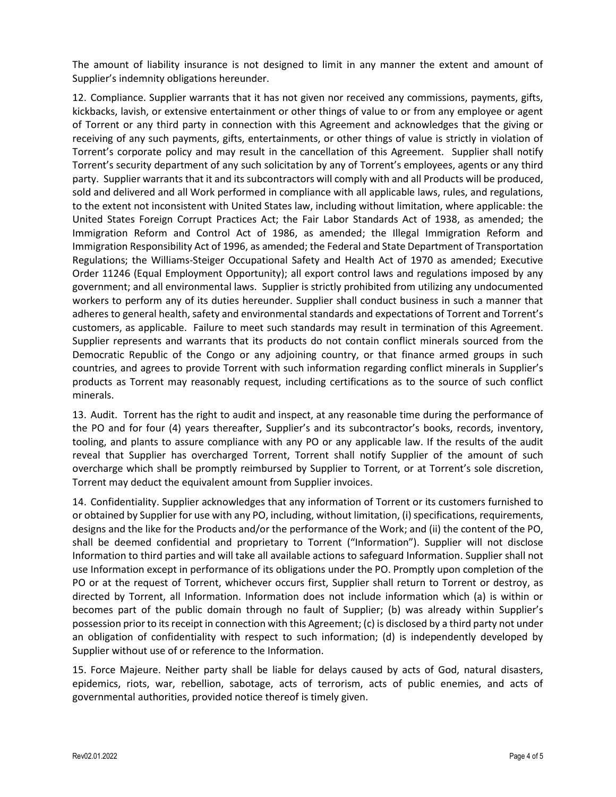The amount of liability insurance is not designed to limit in any manner the extent and amount of Supplier's indemnity obligations hereunder.

12. Compliance. Supplier warrants that it has not given nor received any commissions, payments, gifts, kickbacks, lavish, or extensive entertainment or other things of value to or from any employee or agent of Torrent or any third party in connection with this Agreement and acknowledges that the giving or receiving of any such payments, gifts, entertainments, or other things of value is strictly in violation of Torrent's corporate policy and may result in the cancellation of this Agreement. Supplier shall notify Torrent's security department of any such solicitation by any of Torrent's employees, agents or any third party. Supplier warrants that it and its subcontractors will comply with and all Products will be produced, sold and delivered and all Work performed in compliance with all applicable laws, rules, and regulations, to the extent not inconsistent with United States law, including without limitation, where applicable: the United States Foreign Corrupt Practices Act; the Fair Labor Standards Act of 1938, as amended; the Immigration Reform and Control Act of 1986, as amended; the Illegal Immigration Reform and Immigration Responsibility Act of 1996, as amended; the Federal and State Department of Transportation Regulations; the Williams-Steiger Occupational Safety and Health Act of 1970 as amended; Executive Order 11246 (Equal Employment Opportunity); all export control laws and regulations imposed by any government; and all environmental laws. Supplier is strictly prohibited from utilizing any undocumented workers to perform any of its duties hereunder. Supplier shall conduct business in such a manner that adheres to general health, safety and environmental standards and expectations of Torrent and Torrent's customers, as applicable. Failure to meet such standards may result in termination of this Agreement. Supplier represents and warrants that its products do not contain conflict minerals sourced from the Democratic Republic of the Congo or any adjoining country, or that finance armed groups in such countries, and agrees to provide Torrent with such information regarding conflict minerals in Supplier's products as Torrent may reasonably request, including certifications as to the source of such conflict minerals.

13. Audit. Torrent has the right to audit and inspect, at any reasonable time during the performance of the PO and for four (4) years thereafter, Supplier's and its subcontractor's books, records, inventory, tooling, and plants to assure compliance with any PO or any applicable law. If the results of the audit reveal that Supplier has overcharged Torrent, Torrent shall notify Supplier of the amount of such overcharge which shall be promptly reimbursed by Supplier to Torrent, or at Torrent's sole discretion, Torrent may deduct the equivalent amount from Supplier invoices.

14. Confidentiality. Supplier acknowledges that any information of Torrent or its customers furnished to or obtained by Supplier for use with any PO, including, without limitation, (i) specifications, requirements, designs and the like for the Products and/or the performance of the Work; and (ii) the content of the PO, shall be deemed confidential and proprietary to Torrent ("Information"). Supplier will not disclose Information to third parties and will take all available actions to safeguard Information. Supplier shall not use Information except in performance of its obligations under the PO. Promptly upon completion of the PO or at the request of Torrent, whichever occurs first, Supplier shall return to Torrent or destroy, as directed by Torrent, all Information. Information does not include information which (a) is within or becomes part of the public domain through no fault of Supplier; (b) was already within Supplier's possession prior to its receipt in connection with this Agreement; (c) is disclosed by a third party not under an obligation of confidentiality with respect to such information; (d) is independently developed by Supplier without use of or reference to the Information.

15. Force Majeure. Neither party shall be liable for delays caused by acts of God, natural disasters, epidemics, riots, war, rebellion, sabotage, acts of terrorism, acts of public enemies, and acts of governmental authorities, provided notice thereof is timely given.